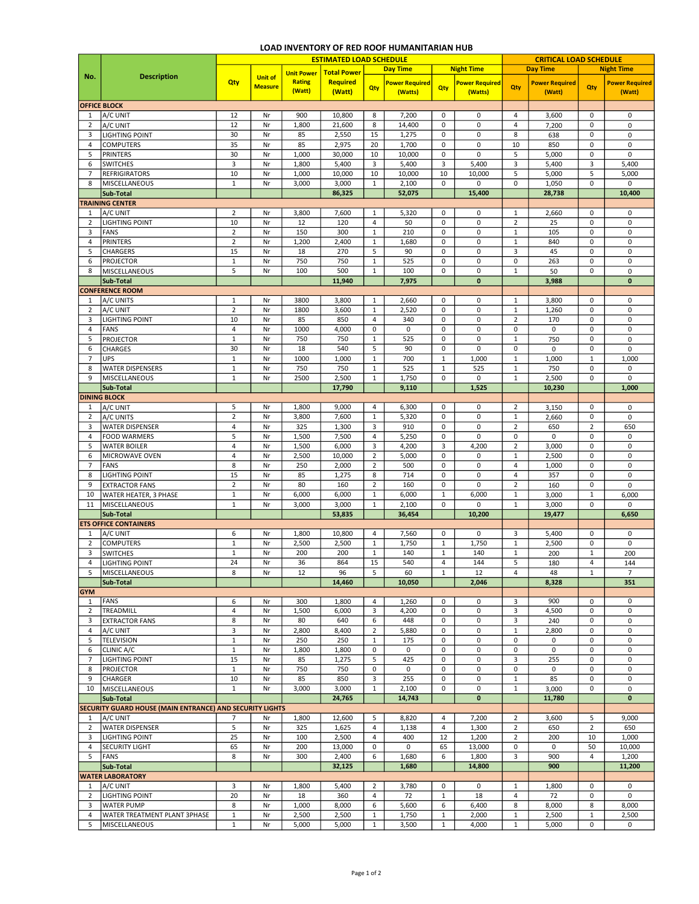## LOAD INVENTORY OF RED ROOF HUMANITARIAN HUB

|                            |                                                          | <b>ESTIMATED LOAD SCHEDULE</b> |                                  |                         |                           |                |                                  |                |                                  |                | <b>CRITICAL LOAD SCHEDULE</b>   |                |                                 |  |
|----------------------------|----------------------------------------------------------|--------------------------------|----------------------------------|-------------------------|---------------------------|----------------|----------------------------------|----------------|----------------------------------|----------------|---------------------------------|----------------|---------------------------------|--|
|                            |                                                          |                                |                                  | <b>Unit Power</b>       | <b>Total Power</b>        |                | <b>Day Time</b>                  |                | <b>Night Time</b>                |                | <b>Day Time</b>                 |                | <b>Night Time</b>               |  |
| No.                        | <b>Description</b>                                       | Qty                            | <b>Unit of</b><br><b>Measure</b> | <b>Rating</b><br>(Watt) | <b>Required</b><br>(Watt) | Qty            | <b>Power Required</b><br>(Watts) | Qty            | <b>Power Required</b><br>(Watts) | Qty            | <b>Power Required</b><br>(Watt) | Qty            | <b>Power Required</b><br>(Watt) |  |
|                            | <b>OFFICE BLOCK</b>                                      |                                |                                  |                         |                           |                |                                  |                |                                  |                |                                 |                |                                 |  |
| $\mathbf{1}$               | A/C UNIT                                                 | 12                             | Nr                               | 900                     | 10,800                    | 8              | 7,200                            | 0              | 0                                | $\overline{4}$ | 3,600                           | 0              | 0                               |  |
| $\overline{2}$             | A/C UNIT                                                 | 12                             | Nr                               | 1,800                   | 21,600                    | 8              | 14,400                           | 0              | 0                                | $\overline{4}$ | 7,200                           | 0              | 0                               |  |
| 3                          | <b>LIGHTING POINT</b>                                    | 30                             | Nr                               | 85                      | 2,550                     | 15             | 1,275                            | 0              | 0                                | 8              | 638                             | 0              | 0                               |  |
| $\overline{4}$             | <b>COMPUTERS</b>                                         | 35                             | Nr                               | 85                      | 2,975                     | 20             | 1,700                            | 0              | 0                                | 10             | 850                             | 0              | $\pmb{0}$                       |  |
| 5                          | PRINTERS                                                 | 30                             | Nr                               | 1,000                   | 30,000                    | 10             | 10,000                           | 0              | 0                                | 5              | 5,000                           | 0              | $\mathbf 0$                     |  |
| 6                          | <b>SWITCHES</b>                                          | $\overline{\mathbf{3}}$        | Nr                               | 1,800                   | 5,400                     | 3              | 5,400                            | 3              | 5,400                            | 3              | 5,400                           | 3              | 5,400                           |  |
| $\overline{7}$             | <b>REFRIGIRATORS</b>                                     | $10\,$                         | Nr                               | 1,000                   | 10,000                    | 10             | 10,000                           | 10             | 10,000                           | 5              | 5,000                           | 5              | 5,000                           |  |
| 8                          | MISCELLANEOUS                                            | $\,1\,$                        | Nr                               | 3,000                   | 3,000                     | $\mathbf{1}$   | 2,100                            | $\mathbf 0$    | 0                                | 0              | 1,050                           | 0              | 0                               |  |
|                            | Sub-Total                                                |                                |                                  |                         | 86,325                    |                | 52,075                           |                | 15,400                           |                | 28,738                          |                | 10,400                          |  |
|                            | <b>TRAINING CENTER</b>                                   |                                |                                  |                         |                           |                |                                  |                |                                  |                |                                 |                |                                 |  |
| $\mathbf{1}$               | A/C UNIT                                                 | $\overline{2}$                 | Nr                               | 3,800                   | 7,600                     | 1              | 5,320                            | 0              | 0                                | 1              | 2,660                           | 0              | 0                               |  |
| 2                          | <b>LIGHTING POINT</b>                                    | 10                             | Nr                               | 12                      | 120                       | $\overline{4}$ | 50                               | 0              | 0                                | $\overline{2}$ | 25                              | 0              | 0                               |  |
| 3                          | FANS                                                     | $\overline{2}$                 | Nr                               | 150                     | 300                       | $\mathbf 1$    | 210                              | $\pmb{0}$      | 0                                | $\mathbf{1}$   | 105                             | 0              | 0                               |  |
| $\overline{4}$             | PRINTERS                                                 | $\overline{2}$                 | Nr                               | 1,200                   | 2,400                     | $\mathbf 1$    | 1,680                            | 0              | 0                                | $\mathbf{1}$   | 840                             | 0              | 0                               |  |
| 5                          | <b>CHARGERS</b>                                          | 15                             | Nr                               | 18                      | 270                       | 5              | 90                               | 0              | 0                                | 3              | 45                              | 0              | $\mathbf 0$                     |  |
| 6                          | <b>PROJECTOR</b>                                         | $\,1\,$                        | Nr                               | 750                     | 750                       | $\mathbf 1$    | 525                              | 0              | 0                                | 0              | 263                             | 0              | $\mathbf 0$                     |  |
| 8                          | MISCELLANEOUS                                            | 5                              | Nr                               | 100                     | 500                       | $\mathbf{1}$   | 100                              | 0              | 0                                | $\mathbf{1}$   | 50                              | 0              | $\mathbf 0$                     |  |
|                            | Sub-Total                                                |                                |                                  |                         | 11,940                    |                | 7,975                            |                | $\bf{0}$                         |                | 3,988                           |                | $\mathbf{0}$                    |  |
|                            | <b>CONFERENCE ROOM</b>                                   |                                |                                  |                         |                           |                |                                  |                |                                  |                |                                 |                |                                 |  |
| $\mathbf{1}$               | A/C UNITS                                                | $\mathbf{1}$                   | Nr                               | 3800                    | 3,800                     | $\mathbf{1}$   | 2,660                            | $\mathbf 0$    | 0                                | 1              | 3,800                           | 0              | 0                               |  |
| $\overline{2}$             | A/C UNIT                                                 | $\mathbf 2$                    | Nr                               | 1800                    | 3,600                     | $\mathbf 1$    | 2,520                            | 0              | 0                                | $\mathbf 1$    | 1,260                           | 0              | $\mathbf 0$                     |  |
| 3                          | <b>LIGHTING POINT</b>                                    | 10                             | Nr                               | 85                      | 850                       | $\overline{4}$ | 340                              | 0              | 0                                | $\overline{2}$ | 170                             | 0              | 0                               |  |
| $\overline{4}$             | FANS                                                     | $\overline{4}$                 | Nr                               | 1000                    | 4,000                     | $\pmb{0}$      | 0                                | 0              | 0                                | $\pmb{0}$      | 0                               | 0              | $\mathbf 0$                     |  |
| 5                          | <b>PROJECTOR</b>                                         | $1\,$                          | Nr                               | 750                     | 750                       | $\mathbf 1$    | 525                              | 0              | 0                                | $\mathbf 1$    | 750                             | 0              | 0                               |  |
| 6                          | <b>CHARGES</b>                                           | 30                             | Nr                               | 18                      | 540                       | 5              | 90                               | 0              | 0                                | $\pmb{0}$      | 0                               | 0              | 0                               |  |
| $\overline{7}$             | <b>UPS</b>                                               | $\,1\,$                        | Nr                               | 1000                    | 1,000                     | $\,1\,$        | 700                              | $1\,$          | 1,000                            | $\mathbf{1}$   | 1,000                           | $\mathbf{1}$   | 1,000                           |  |
| 8                          | <b>WATER DISPENSERS</b>                                  | $1\,$                          | Nr                               | 750                     | 750                       | $\mathbf 1$    | 525                              | $\mathbf 1$    | 525                              | $\mathbf{1}$   | 750                             | 0              | 0                               |  |
| 9                          | MISCELLANEOUS                                            | $\mathbf 1$                    | Nr                               | 2500                    | 2,500                     | $\mathbf 1$    | 1,750                            | 0              | 0                                | $\mathbf{1}$   | 2,500                           | 0              | 0                               |  |
|                            | Sub-Total                                                |                                |                                  |                         | 17,790                    |                | 9,110                            |                | 1,525                            |                | 10,230                          |                | 1,000                           |  |
|                            | <b>DINING BLOCK</b>                                      |                                |                                  |                         |                           |                |                                  |                |                                  |                |                                 |                |                                 |  |
| 1                          | A/C UNIT                                                 | 5                              | Nr                               | 1,800                   | 9,000                     | 4              | 6,300                            | $\pmb{0}$      | 0                                | $\overline{2}$ | 3,150                           | 0              | 0                               |  |
| $\overline{2}$             | A/C UNITS                                                | $\sqrt{2}$                     | Nr                               | 3,800                   | 7,600                     | $\mathbf 1$    | 5,320                            | $\pmb{0}$      | 0                                | $\mathbf{1}$   | 2,660                           | 0              | 0                               |  |
| 3                          | <b>WATER DISPENSER</b>                                   | 4                              | Nr                               | 325                     | 1,300                     | 3              | 910                              | 0              | 0                                | $\overline{2}$ | 650                             | $\overline{2}$ | 650                             |  |
| 4                          | <b>FOOD WARMERS</b>                                      | 5                              | Nr                               | 1,500                   | 7,500                     | $\overline{4}$ | 5,250                            | 0              | 0                                | $\pmb{0}$      | 0                               | 0              | 0                               |  |
| 5                          | <b>WATER BOILER</b>                                      | 4                              | Nr                               | 1,500                   | 6,000                     | 3              | 4,200                            | 3              | 4,200                            | $\mathbf 2$    | 3,000                           | 0              | $\mathbf 0$                     |  |
| 6                          | MICROWAVE OVEN                                           | $\overline{a}$                 | Nr                               | 2,500                   | 10,000                    | $\overline{2}$ | 5,000                            | 0              | 0                                | $\mathbf{1}$   | 2,500                           | 0              | 0                               |  |
| $\overline{7}$             | FANS                                                     | 8                              | Nr                               | 250                     | 2,000                     | $\overline{2}$ | 500                              | 0              | 0                                | $\overline{4}$ | 1,000                           | 0              | 0                               |  |
| 8                          | <b>LIGHTING POINT</b>                                    | 15                             | Nr                               | 85                      | 1,275                     | 8              | 714                              | $\mathbf 0$    | 0                                | $\overline{4}$ | 357                             | 0              | 0                               |  |
| 9                          | <b>EXTRACTOR FANS</b>                                    | $\overline{2}$                 | Nr                               | 80                      | 160                       | $\overline{2}$ | 160                              | 0              | 0                                | $\overline{2}$ | 160                             | 0              | 0                               |  |
| 10                         | WATER HEATER, 3 PHASE                                    | $\mathbf 1$                    | Nr                               | 6,000                   | 6,000                     | $\mathbf 1$    | 6,000                            | $\mathbf 1$    | 6,000                            | $\mathbf 1$    | 3,000                           | $\mathbf 1$    | 6,000                           |  |
| 11                         | MISCELLANEOUS                                            | $\mathbf{1}$                   | Nr                               | 3,000                   | 3,000                     | $\mathbf{1}$   | 2,100                            | 0              | 0                                | $\mathbf{1}$   | 3,000                           | 0              | 0                               |  |
|                            | Sub-Total                                                |                                |                                  |                         | 53,835                    |                | 36,454                           |                | 10,200                           |                | 19,477                          |                | 6,650                           |  |
|                            | <b>ETS OFFICE CONTAINERS</b>                             |                                |                                  |                         |                           |                |                                  |                |                                  |                |                                 |                |                                 |  |
| $\mathbf{1}$               | A/C UNIT                                                 | 6                              | Nr                               | 1,800                   | 10,800                    | $\overline{4}$ | 7,560                            | $\mathbf 0$    | 0                                | 3              | 5,400                           | 0              | 0                               |  |
| 2                          | <b>COMPUTERS</b>                                         | $\,1\,$                        | Nr                               | 2,500                   | 2,500                     | $\mathbf{1}$   | 1,750                            | $1\,$          | 1,750                            | $\mathbf{1}$   | 2,500                           | 0              | $\mathbf 0$                     |  |
| 3                          | <b>SWITCHES</b>                                          | $\mathbf 1$                    | Nr                               | 200                     | 200                       | $\mathbf{1}$   | 140                              | $\mathbf{1}$   | 140                              | $\mathbf 1$    | 200                             | $\mathbf{1}$   | 200                             |  |
| $\overline{4}$             | <b>LIGHTING POINT</b>                                    | 24                             | Nr                               | 36                      | 864                       | 15             | 540                              | 4              | 144                              | 5              | 180                             | 4              | 144                             |  |
| 5                          | MISCELLANEOUS                                            | 8                              | Nr                               | 12                      | 96                        | 5              | 60                               | 1              | 12                               | 4              | 48                              | $\mathbf{1}$   | $\overline{7}$                  |  |
|                            | Sub-Total                                                |                                |                                  |                         | 14,460                    |                | 10,050                           |                | 2,046                            |                | 8,328                           |                | 351                             |  |
| <b>GYM</b><br>$\mathbf{1}$ | FANS                                                     | 6                              | Nr                               | 300                     | 1,800                     | $\overline{4}$ | 1,260                            | 0              | 0                                | 3              | 900                             | 0              | 0                               |  |
| $\overline{2}$             | TREADMILL                                                | 4                              | Nr                               | 1,500                   | 6,000                     | 3              | 4,200                            | 0              | 0                                | 3              | 4,500                           | 0              | $\mathbf 0$                     |  |
| 3                          | <b>EXTRACTOR FANS</b>                                    | 8                              | Nr                               | 80                      | 640                       | 6              | 448                              | $\mathbf 0$    | 0                                | $\overline{3}$ | 240                             | 0              | $\pmb{0}$                       |  |
| 4                          | A/C UNIT                                                 | 3                              | Nr                               | 2,800                   | 8,400                     | $\overline{2}$ | 5,880                            | $\mathbf 0$    | 0                                | $\mathbf{1}$   | 2,800                           | 0              | 0                               |  |
| 5                          | <b>TELEVISION</b>                                        | $\,1\,$                        | Nr                               | 250                     | 250                       | $\mathbf{1}$   | 175                              | $\mathbf 0$    | 0                                | $\pmb{0}$      | 0                               | 0              | 0                               |  |
| 6                          | CLINIC A/C                                               | $\mathbf{1}$                   | Nr                               | 1,800                   | 1,800                     | 0              | 0                                | $\mathbf 0$    | 0                                | $\mathbf 0$    | 0                               | 0              | 0                               |  |
| 7                          | <b>LIGHTING POINT</b>                                    | 15                             | Nr                               | 85                      | 1,275                     | 5              | 425                              | 0              | 0                                | 3              | 255                             | 0              | $\mathbf 0$                     |  |
| 8                          | <b>PROJECTOR</b>                                         | $\mathbf{1}$                   | Nr                               | 750                     | 750                       | 0              | 0                                | 0              | 0                                | $\pmb{0}$      | 0                               | $\mathbf 0$    | $\mathbf 0$                     |  |
| 9                          | <b>CHARGER</b>                                           | 10                             | Nr                               | 85                      | 850                       | 3              | 255                              | 0              | 0                                | $\mathbf{1}$   | 85                              | 0              | 0                               |  |
| 10                         | MISCELLANEOUS                                            | $\mathbf{1}$                   | Nr                               | 3,000                   | 3,000                     | $\mathbf{1}$   | 2,100                            | 0              | 0                                | $\mathbf{1}$   | 3,000                           | 0              | $\mathbf 0$                     |  |
|                            | Sub-Total                                                |                                |                                  |                         | 24,765                    |                | 14,743                           |                | $\bf{0}$                         |                | 11,780                          |                | $\mathbf{0}$                    |  |
|                            | SECURITY GUARD HOUSE (MAIN ENTRANCE) AND SECURITY LIGHTS |                                |                                  |                         |                           |                |                                  |                |                                  |                |                                 |                |                                 |  |
| $\mathbf{1}$               | A/C UNIT                                                 | 7                              | Nr                               | 1,800                   | 12,600                    | 5              | 8,820                            | $\overline{4}$ | 7,200                            | $\overline{2}$ | 3,600                           | 5              | 9,000                           |  |
| $\overline{2}$             | <b>WATER DISPENSER</b>                                   | 5                              | Nr                               | 325                     | 1,625                     | $\overline{4}$ | 1,138                            | $\overline{4}$ | 1,300                            | $\overline{2}$ | 650                             | $\overline{2}$ | 650                             |  |
| 3                          | <b>LIGHTING POINT</b>                                    | 25                             | Nr                               | 100                     | 2,500                     | $\overline{4}$ | 400                              | 12             | 1,200                            | $\overline{2}$ | 200                             | 10             | 1,000                           |  |
| $\overline{4}$             | <b>SECURITY LIGHT</b>                                    | 65                             | Nr                               | 200                     | 13,000                    | 0              | 0                                | 65             | 13,000                           | $\pmb{0}$      | 0                               | 50             | 10,000                          |  |
| 5                          | FANS                                                     | 8                              | Nr                               | 300                     | 2,400                     | 6              | 1,680                            | 6              | 1,800                            | 3              | 900                             | $\overline{4}$ | 1,200                           |  |
|                            | Sub-Total                                                |                                |                                  |                         | 32,125                    |                | 1,680                            |                | 14,800                           |                | 900                             |                | 11,200                          |  |
| <b>WATER LABORATORY</b>    |                                                          |                                |                                  |                         |                           |                |                                  |                |                                  |                |                                 |                |                                 |  |
| 1                          | A/C UNIT                                                 | 3                              | Nr                               | 1,800                   | 5,400                     | $\overline{2}$ | 3,780                            | $\mathbf 0$    | 0                                | $\mathbf{1}$   | 1,800                           | 0              | $\mathbf 0$                     |  |
| $\overline{2}$             | <b>LIGHTING POINT</b>                                    | 20                             | Nr                               | 18                      | 360                       | $\overline{4}$ | 72                               | $\mathbf{1}$   | 18                               | 4              | 72                              | 0              | $\mathbf 0$                     |  |
| 3                          | <b>WATER PUMP</b>                                        | 8                              | Nr                               | 1,000                   | 8,000                     | 6              | 5,600                            | 6              | 6,400                            | 8              | 8,000                           | 8              | 8,000                           |  |
| $\overline{4}$             | <b>WATER TREATMENT PLANT 3PHASE</b>                      | $\,1\,$                        | Nr                               | 2,500                   | 2,500                     | $\,1\,$        | 1,750                            | $\mathbf 1$    | 2,000                            | $\mathbf{1}$   | 2,500                           | $\mathbf{1}$   | 2,500                           |  |
| 5                          | MISCELLANEOUS                                            | $\mathbf 1$                    | Nr                               | 5,000                   | 5,000                     | $\mathbf 1$    | 3,500                            | $\mathbf 1$    | 4,000                            | $\mathbf{1}$   | 5,000                           | 0              | 0                               |  |
|                            |                                                          |                                |                                  |                         |                           |                |                                  |                |                                  |                |                                 |                |                                 |  |